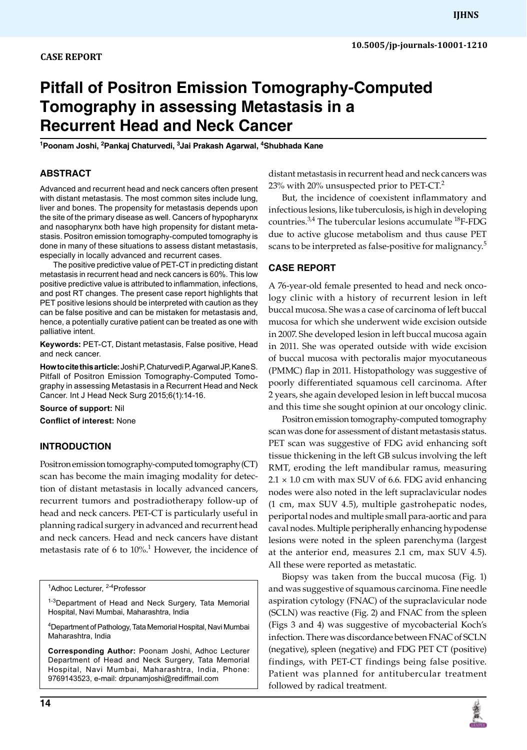# **Pitfall of Positron Emission Tomography-Computed Tomography in assessing Metastasis in a Recurrent Head and Neck Cancer**

<sup>1</sup>Poonam Joshi, <sup>2</sup>Pankaj Chaturvedi, <sup>3</sup>Jai Prakash Agarwal, <sup>4</sup>Shubhada Kane

## **ABSTRACT**

Advanced and recurrent head and neck cancers often present with distant metastasis. The most common sites include lung, liver and bones. The propensity for metastasis depends upon the site of the primary disease as well. Cancers of hypopharynx and nasopharynx both have high propensity for distant metastasis. Positron emission tomography-computed tomography is done in many of these situations to assess distant metastasis, especially in locally advanced and recurrent cases.

The positive predictive value of PET-CT in predicting distant metastasis in recurrent head and neck cancers is 60%. This low positive predictive value is attributed to inflammation, infections, and post RT changes. The present case report highlights that PET positive lesions should be interpreted with caution as they can be false positive and can be mistaken for metastasis and, hence, a potentially curative patient can be treated as one with palliative intent.

Keywords: PET-CT, Distant metastasis, False positive, Head and neck cancer.

**How to cite this article:** Joshi P, Chaturvedi P, Agarwal JP, Kane S. Pitfall of Positron Emission Tomography-Computed Tomography in assessing Metastasis in a Recurrent Head and Neck Cancer. Int J Head Neck Surg 2015;6(1):14-16.

**Source of support:** Nil

**Conflict of interest:** None

## **Introduction**

Positron emission tomography-computed tomography (CT) scan has become the main imaging modality for detection of distant metastasis in locally advanced cancers, recurrent tumors and postradiotherapy follow-up of head and neck cancers. PET-CT is particularly useful in planning radical surgery in advanced and recurrent head and neck cancers. Head and neck cancers have distant metastasis rate of 6 to  $10\%$ .<sup>1</sup> However, the incidence of

4 Department of Pathology, Tata Memorial Hospital, Navi Mumbai Maharashtra, India

**Corresponding Author:** Poonam joshi, Adhoc Lecturer Department of Head and Neck Surgery, Tata Memorial hospital, Navi Mumbai, Maharashtra, India, Phone: 9769143523, e-mail: drpunamjoshi@rediffmail.com

distant metastasis in recurrent head and neck cancers was 23% with 20% unsuspected prior to PET-CT.<sup>2</sup>

 But, the incidence of coexistent inflammatory and infectious lesions, like tuberculosis, is high in developing countries.<sup>3,4</sup> The tubercular lesions accumulate <sup>18</sup>F-FDG due to active glucose metabolism and thus cause PET scans to be interpreted as false-positive for malignancy.<sup>5</sup>

## **Case report**

A 76-year-old female presented to head and neck oncology clinic with a history of recurrent lesion in left buccal mucosa. She was a case of carcinoma of left buccal mucosa for which she underwent wide excision outside in 2007. She developed lesion in left buccal mucosa again in 2011. She was operated outside with wide excision of buccal mucosa with pectoralis major myocutaneous (PMMC) flap in 2011. Histopathology was suggestive of poorly differentiated squamous cell carcinoma. After 2 years, she again developed lesion in left buccal mucosa and this time she sought opinion at our oncology clinic.

Positron emission tomography-computed tomography scan was done for assessment of distant metastasis status. PET scan was suggestive of FDG avid enhancing soft tissue thickening in the left GB sulcus involving the left RMT, eroding the left mandibular ramus, measuring  $2.1 \times 1.0$  cm with max SUV of 6.6. FDG avid enhancing nodes were also noted in the left supraclavicular nodes (1 cm, max SUV 4.5), multiple gastrohepatic nodes, periportal nodes and multiple small para-aortic and para caval nodes. Multiple peripherally enhancing hypodense lesions were noted in the spleen parenchyma (largest at the anterior end, measures 2.1 cm, max SUV 4.5). All these were reported as metastatic.

Biopsy was taken from the buccal mucosa (Fig. 1) and was suggestive of squamous carcinoma. Fine needle aspiration cytology (FNAC) of the supraclavicular node (SCLN) was reactive (Fig. 2) and FNAC from the spleen (Figs 3 and 4) was suggestive of mycobacterial Koch's infection. There was discordance between FNAC of SCLN (negative), spleen (negative) and FDG PET CT (positive) findings, with PET-CT findings being false positive. Patient was planned for antitubercular treatment followed by radical treatment.



<sup>&</sup>lt;sup>1</sup>Adhoc Lecturer, <sup>2-4</sup>Professor

<sup>&</sup>lt;sup>1-3</sup>Department of Head and Neck Surgery, Tata Memorial Hospital, Navi Mumbai, Maharashtra, India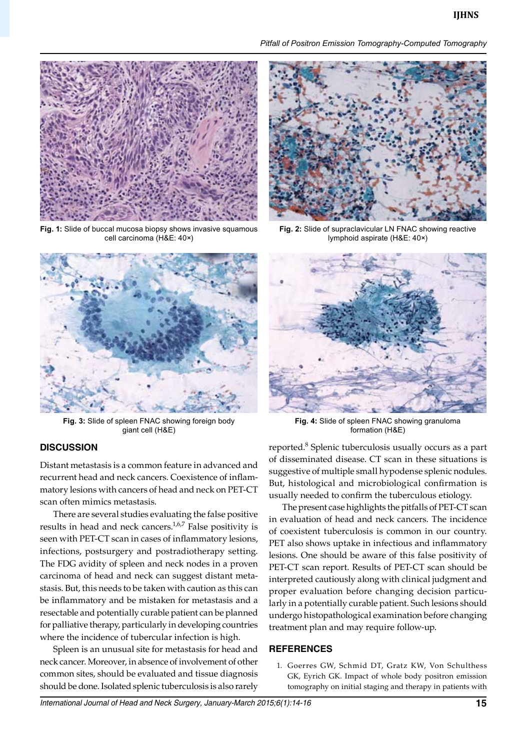

Fig. 1: Slide of buccal mucosa biopsy shows invasive squamous cell carcinoma (H&E: 40×)



Fig. 3: Slide of spleen FNAC showing foreign body giant cell (H&E)

#### **Discussion**

Distant metastasis is a common feature in advanced and recurrent head and neck cancers. Coexistence of inflammatory lesions with cancers of head and neck on PET-CT scan often mimics metastasis.

There are several studies evaluating the false positive results in head and neck cancers.<sup>1,6,7</sup> False positivity is seen with PET-CT scan in cases of inflammatory lesions, infections, postsurgery and postradiotherapy setting. The FDG avidity of spleen and neck nodes in a proven carcinoma of head and neck can suggest distant metastasis. But, this needs to be taken with caution as this can be inflammatory and be mistaken for metastasis and a resectable and potentially curable patient can be planned for palliative therapy, particularly in developing countries where the incidence of tubercular infection is high.

Spleen is an unusual site for metastasis for head and neck cancer. Moreover, in absence of involvement of other common sites, should be evaluated and tissue diagnosis should be done. Isolated splenic tuberculosis is also rarely



*Pitfall of Positron Emission Tomography-Computed Tomography*

Fig. 2: Slide of supraclavicular LN FNAC showing reactive lymphoid aspirate (H&E: 40×)



Fig. 4: Slide of spleen FNAC showing granuloma formation (H&E)

reported.<sup>8</sup> Splenic tuberculosis usually occurs as a part of disseminated disease. CT scan in these situations is suggestive of multiple small hypodense splenic nodules. But, histological and microbiological confirmation is usually needed to confirm the tuberculous etiology.

The present case highlights the pitfalls of PET-CT scan in evaluation of head and neck cancers. The incidence of coexistent tuberculosis is common in our country. PET also shows uptake in infectious and inflammatory lesions. One should be aware of this false positivity of PET-CT scan report. Results of PET-CT scan should be interpreted cautiously along with clinical judgment and proper evaluation before changing decision particularly in a potentially curable patient. Such lesions should undergo histopathological examination before changing treatment plan and may require follow-up.

#### **References**

1. Goerres GW, Schmid DT, Gratz KW, Von Schulthess GK, Eyrich GK. Impact of whole body positron emission tomography on initial staging and therapy in patients with